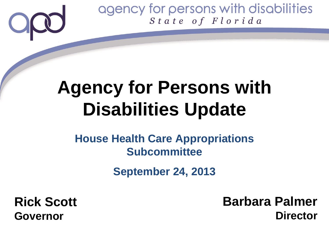### **Agency for Persons with Disabilities Update**

### **House Health Care Appropriations Subcommittee**

**September 24, 2013**

**Rick Scott Governor**

**Barbara Palmer Director**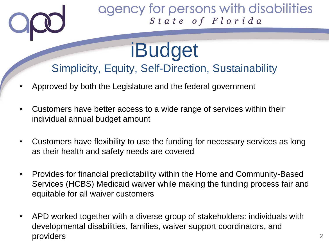### iBudget Simplicity, Equity, Self-Direction, Sustainability

- Approved by both the Legislature and the federal government
- Customers have better access to a wide range of services within their individual annual budget amount
- Customers have flexibility to use the funding for necessary services as long as their health and safety needs are covered
- Provides for financial predictability within the Home and Community-Based Services (HCBS) Medicaid waiver while making the funding process fair and equitable for all waiver customers
- APD worked together with a diverse group of stakeholders: individuals with developmental disabilities, families, waiver support coordinators, and providers 2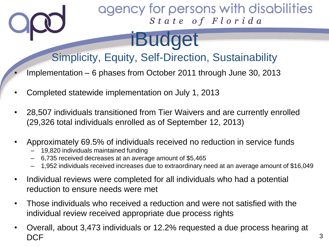### iBudget

### Simplicity, Equity, Self-Direction, Sustainability

- Implementation 6 phases from October 2011 through June 30, 2013
- Completed statewide implementation on July 1, 2013
- 28,507 individuals transitioned from Tier Waivers and are currently enrolled (29,326 total individuals enrolled as of September 12, 2013)
- Approximately 69.5% of individuals received no reduction in service funds
	- 19,820 individuals maintained funding
	- 6,735 received decreases at an average amount of \$5,465
	- 1,952 individuals received increases due to extraordinary need at an average amount of \$16,049
- Individual reviews were completed for all individuals who had a potential reduction to ensure needs were met
- Those individuals who received a reduction and were not satisfied with the individual review received appropriate due process rights
- Overall, about 3,473 individuals or 12.2% requested a due process hearing at  $\mathsf{DCF}$  , and the set of  $\mathsf{3}$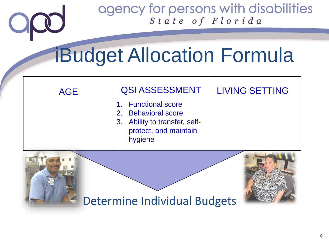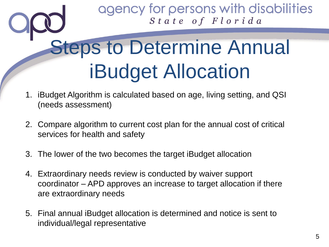# **Steps to Determine Annual** iBudget Allocation

- 1. iBudget Algorithm is calculated based on age, living setting, and QSI (needs assessment)
- 2. Compare algorithm to current cost plan for the annual cost of critical services for health and safety
- 3. The lower of the two becomes the target iBudget allocation
- 4. Extraordinary needs review is conducted by waiver support coordinator – APD approves an increase to target allocation if there are extraordinary needs
- 5. Final annual iBudget allocation is determined and notice is sent to individual/legal representative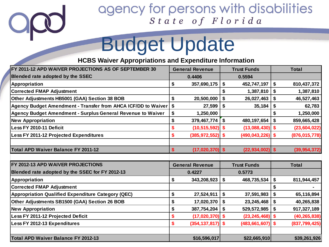

## Budget Update

**HCBS Waiver Appropriations and Expenditure Information**

| FY 2011-12 APD WAIVER PROJECTIONS AS OF SEPTEMBER 30               | <b>General Revenue</b> |                      | <b>Trust Funds</b>                  | <b>Total</b>              |                 |
|--------------------------------------------------------------------|------------------------|----------------------|-------------------------------------|---------------------------|-----------------|
| Blended rate adopted by the SSEC                                   | 0.4406                 |                      | 0.5594                              |                           |                 |
| Appropriation                                                      | \$                     | 357,690,175          | \$<br>452,747,197                   | \$                        | 810,437,372     |
| <b>Corrected FMAP Adjustment</b>                                   |                        |                      | \$<br>1,387,810                     | \$                        | 1,387,810       |
| Other Adjustments HB5001 (GAA) Section 38 BOB                      | \$                     | 20,500,000           | \$<br>26,027,463                    | \$                        | 46,527,463      |
| Agency Budget Amendment - Transfer from AHCA ICF/DD to Waiver      | \$                     | 27,599               | \$<br>35,184                        | \$                        | 62,783          |
| <b>Agency Budget Amendment - Surplus General Revenue to Waiver</b> | \$                     | 1,250,000            |                                     | \$                        | 1,250,000       |
| <b>New Appropriation</b>                                           | \$                     | 379,467,774          | $\mathbf{\hat{s}}$<br>480, 197, 654 | \$                        | 859,665,428     |
| Less FY 2010-11 Deficit                                            |                        | $(10, 515, 592)$ \$  | $(13,088,430)$ \$                   |                           | (23, 604, 022)  |
| Less FY 2011-12 Projected Expenditures                             | \$                     | $(385, 972, 552)$ \$ | $(490, 043, 226)$ \$                |                           | (876, 015, 778) |
|                                                                    |                        |                      |                                     |                           |                 |
| <b>Total APD Waiver Balance FY 2011-12</b>                         | \$                     | $(17,020,370)$ \$    | $(22, 934, 002)$ \$                 |                           | (39, 954, 372)  |
|                                                                    |                        |                      |                                     |                           |                 |
| FY 2012-13 APD WAIVER PROJECTIONS                                  | <b>General Revenue</b> |                      | <b>Trust Funds</b>                  |                           | <b>Total</b>    |
| Blended rate adopted by the SSEC for FY 2012-13                    | 0.4227                 |                      | 0.5773                              |                           |                 |
| Appropriation                                                      | \$                     | 343,208,923          | \$<br>468,735,534                   | \$                        | 811,944,457     |
| <b>Corrected FMAP Adjustment</b>                                   |                        |                      |                                     | \$                        |                 |
| <b>Appropriation Qualified Expenditure Category (QEC)</b>          | \$                     | 27,524,911           | \$<br>37,591,983                    | \$                        | 65,116,894      |
| Other Adjustments SB1500 (GAA) Section 26 BOB                      | \$                     | 17,020,370           | \$<br>23,245,468                    | \$                        | 40,265,838      |
| <b>New Appropriation</b>                                           | \$                     | 387,754,204          | \$<br>529,572,985                   | $\boldsymbol{\mathsf{s}}$ | 917,327,189     |
| Less FY 2011-12 Projected Deficit                                  | \$                     | $(17,020,370)$ \$    | $(23, 245, 468)$ \$                 |                           | (40, 265, 838)  |
| Less FY 2012-13 Expenditures                                       | \$                     | $(354, 137, 817)$ \$ | $(483, 661, 607)$ \$                |                           | (837, 799, 425) |
|                                                                    |                        |                      |                                     |                           |                 |
| Total APD Waiver Balance FY 2012-13                                |                        | \$16,596,017         | \$22,665,910                        |                           | \$39,261,926    |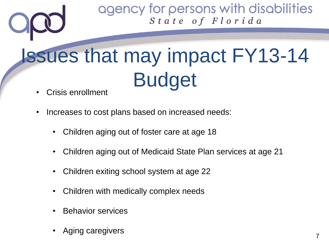# Issues that may impact FY13-14 Budget

- Crisis enrollment
- Increases to cost plans based on increased needs:
	- Children aging out of foster care at age 18
	- Children aging out of Medicaid State Plan services at age 21
	- Children exiting school system at age 22
	- Children with medically complex needs
	- Behavior services
	- Aging caregivers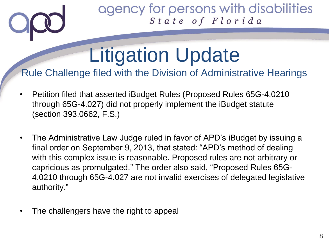# Litigation Update

#### Rule Challenge filed with the Division of Administrative Hearings

- Petition filed that asserted iBudget Rules (Proposed Rules 65G-4.0210 through 65G-4.027) did not properly implement the iBudget statute (section 393.0662, F.S.)
- The Administrative Law Judge ruled in favor of APD's iBudget by issuing a final order on September 9, 2013, that stated: "APD's method of dealing with this complex issue is reasonable. Proposed rules are not arbitrary or capricious as promulgated." The order also said, "Proposed Rules 65G-4.0210 through 65G-4.027 are not invalid exercises of delegated legislative authority."
- The challengers have the right to appeal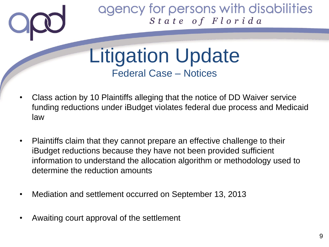

Litigation Update Federal Case – Notices

- Class action by 10 Plaintiffs alleging that the notice of DD Waiver service funding reductions under iBudget violates federal due process and Medicaid law
- Plaintiffs claim that they cannot prepare an effective challenge to their iBudget reductions because they have not been provided sufficient information to understand the allocation algorithm or methodology used to determine the reduction amounts
- Mediation and settlement occurred on September 13, 2013
- Awaiting court approval of the settlement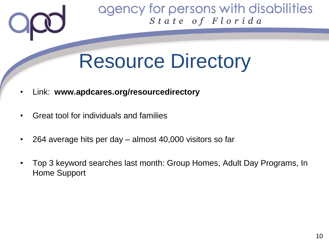

## Resource Directory

- Link: **www.apdcares.org/resourcedirectory**
- Great tool for individuals and families
- 264 average hits per day almost 40,000 visitors so far
- Top 3 keyword searches last month: Group Homes, Adult Day Programs, In Home Support